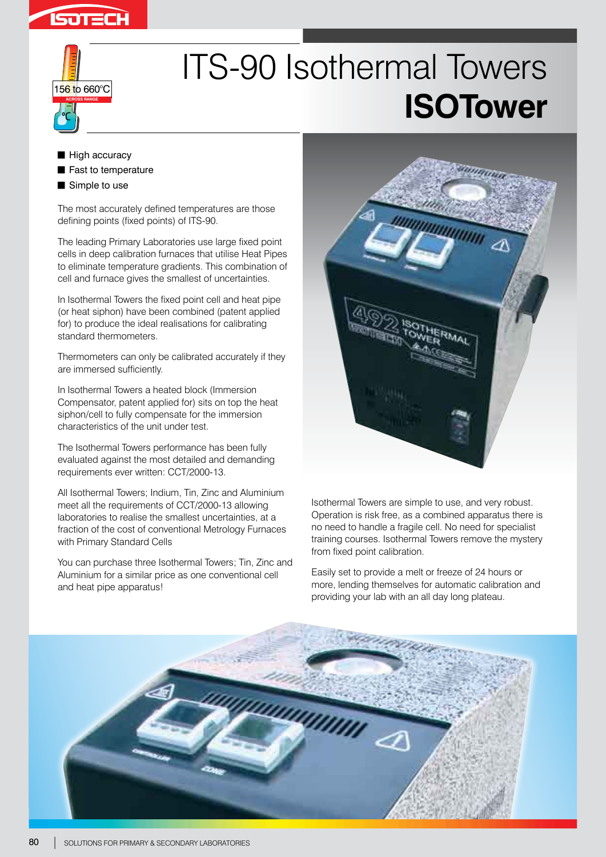



# ITS-90 Isothermal Towers **ISOTower**

- $\blacksquare$  High accuracy
- Fast to temperature
- $\blacksquare$  Simple to use

The most accurately defined temperatures are those defining points (fixed points) of ITS-90.

The leading Primary Laboratories use large fixed point cells in deep calibration furnaces that utilise Heat Pipes to eliminate temperature gradients. This combination of cell and furnace gives the smallest of uncertainties.

In Isothermal Towers the fixed point cell and heat pipe (or heat siphon) have been combined (patent applied for) to produce the ideal realisations for calibrating standard thermometers.

Thermometers can only be calibrated accurately if they are immersed sufficiently.

In Isothermal Towers a heated block (Immersion Compensator, patent applied for) sits on top the heat siphon/cell to fully compensate for the immersion characteristics of the unit under test.

The Isothermal Towers performance has been fully evaluated against the most detailed and demanding requirements ever written: CCT/2000-13.

All Isothermal Towers; Indium, Tin, Zinc and Aluminium meet all the requirements of CCT/2000-13 allowing laboratories to realise the smallest uncertainties, at a fraction of the cost of conventional Metrology Furnaces with Primary Standard Cells

You can purchase three Isothermal Towers; Tin, Zinc and Aluminium for a similar price as one conventional cell and heat pipe apparatus!



Isothermal Towers are simple to use, and very robust. Operation is risk free, as a combined apparatus there is no need to handle a fragile cell. No need for specialist training courses. Isothermal Towers remove the mystery from fixed point calibration.

Easily set to provide a melt or freeze of 24 hours or more, lending themselves for automatic calibration and providing your lab with an all day long plateau.

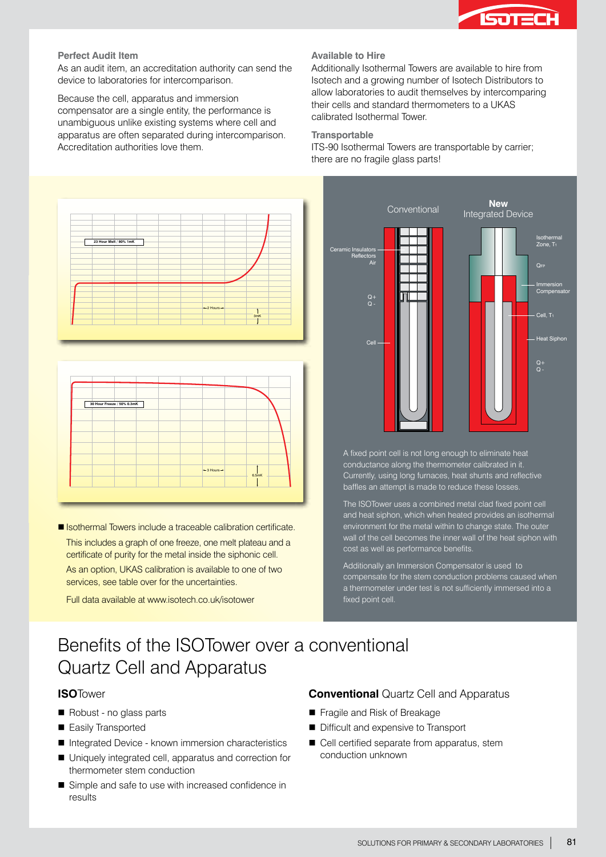

#### **Perfect Audit Item**

As an audit item, an accreditation authority can send the device to laboratories for intercomparison.

Because the cell, apparatus and immersion compensator are a single entity, the performance is unambiguous unlike existing systems where cell and apparatus are often separated during intercomparison. Accreditation authorities love them.

#### **Available to Hire**

Additionally Isothermal Towers are available to hire from Isotech and a growing number of Isotech Distributors to allow laboratories to audit themselves by intercomparing their cells and standard thermometers to a UKAS calibrated Isothermal Tower.

#### **Transportable**

ITS-90 Isothermal Towers are transportable by carrier; there are no fragile glass parts!



■ Isothermal Towers include a traceable calibration certificate.

This includes a graph of one freeze, one melt plateau and a certificate of purity for the metal inside the siphonic cell. As an option, UKAS calibration is available to one of two services, see table over for the uncertainties.

Full data available at www.isotech.co.uk/isotower

Ceramic Insulators **Reflectors** Air Q+ Q - Q+ Q - **QFF** Cell Conventional **New** Integrated Device Immersion **Compensator** Isothermal Zone, T<sub>1</sub> Cell, T Heat Siphon

A fixed point cell is not long enough to eliminate heat conductance along the thermometer calibrated in it. Currently, using long furnaces, heat shunts and reflective baffles an attempt is made to reduce these losses.

The ISOTower uses a combined metal clad fixed point cell and heat siphon, which when heated provides an isothermal environment for the metal within to change state. The outer wall of the cell becomes the inner wall of the heat siphon with cost as well as performance benefits.

Additionally an Immersion Compensator is used to compensate for the stem conduction problems caused when a thermometer under test is not sufficiently immersed into a fixed point cell.

# Benefits of the ISOTower over a conventional Quartz Cell and Apparatus

# **ISO**Tower

- Robust no glass parts
- Easily Transported
- Integrated Device known immersion characteristics
- Uniquely integrated cell, apparatus and correction for thermometer stem conduction
- Simple and safe to use with increased confidence in results

# **Conventional** Quartz Cell and Apparatus

- Fragile and Risk of Breakage
- Difficult and expensive to Transport
- Cell certified separate from apparatus, stem conduction unknown